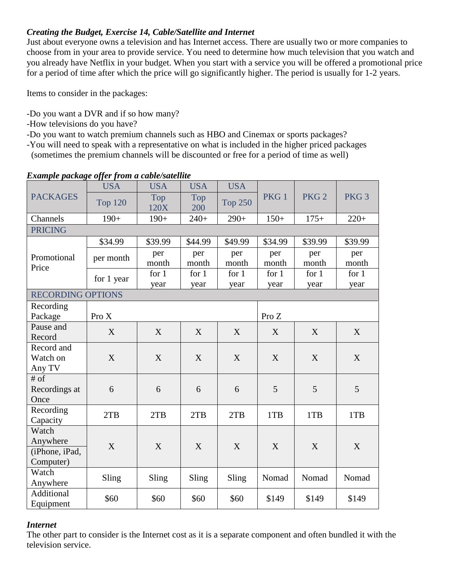## *Creating the Budget, Exercise 14, Cable/Satellite and Internet*

Just about everyone owns a television and has Internet access. There are usually two or more companies to choose from in your area to provide service. You need to determine how much television that you watch and you already have Netflix in your budget. When you start with a service you will be offered a promotional price for a period of time after which the price will go significantly higher. The period is usually for 1-2 years.

Items to consider in the packages:

- -Do you want a DVR and if so how many?
- -How televisions do you have?
- -Do you want to watch premium channels such as HBO and Cinemax or sports packages?
- -You will need to speak with a representative on what is included in the higher priced packages (sometimes the premium channels will be discounted or free for a period of time as well)

| <b>PACKAGES</b>                                  | <b>USA</b>     | <b>USA</b>      | <b>USA</b>      | <b>USA</b>      | PKG <sub>1</sub> | PKG <sub>2</sub> | PKG <sub>3</sub> |  |
|--------------------------------------------------|----------------|-----------------|-----------------|-----------------|------------------|------------------|------------------|--|
|                                                  | <b>Top 120</b> | Top<br>120X     | Top<br>200      | <b>Top 250</b>  |                  |                  |                  |  |
| Channels                                         | $190+$         | $190+$          | $240+$          | $290+$          | $150+$           | $175+$           | $220+$           |  |
| <b>PRICING</b>                                   |                |                 |                 |                 |                  |                  |                  |  |
|                                                  | \$34.99        | \$39.99         | \$44.99         | \$49.99         | \$34.99          | \$39.99          | \$39.99          |  |
| Promotional<br>Price                             | per month      | per<br>month    | per<br>month    | per<br>month    | per<br>month     | per<br>month     | per<br>month     |  |
|                                                  | for 1 year     | for $1$<br>year | for $1$<br>year | for $1$<br>year | for $1$<br>year  | for $1$<br>year  | for $1$<br>year  |  |
| <b>RECORDING OPTIONS</b>                         |                |                 |                 |                 |                  |                  |                  |  |
| Recording<br>Package                             | Pro X          |                 |                 |                 | Pro $Z$          |                  |                  |  |
| Pause and<br>Record                              | X              | X               | X               | X               | X                | X                | X                |  |
| Record and<br>Watch on<br>Any TV                 | X              | X               | X               | X               | X                | X                | X                |  |
| $#$ of<br>Recordings at<br>Once                  | 6              | 6               | 6               | 6               | 5                | 5                | 5                |  |
| Recording<br>Capacity                            | 2TB            | 2TB             | 2TB             | 2TB             | 1TB              | 1TB              | 1TB              |  |
| Watch<br>Anywhere<br>(iPhone, iPad,<br>Computer) | X              | X               | X               | X               | X                | X                | X                |  |
| Watch<br>Anywhere                                | Sling          | Sling           | Sling           | Sling           | Nomad            | Nomad            | Nomad            |  |
| Additional<br>Equipment                          | \$60           | \$60            | \$60            | \$60            | \$149            | \$149            | \$149            |  |

## *Example package offer from a cable/satellite*

## *Internet*

The other part to consider is the Internet cost as it is a separate component and often bundled it with the television service.